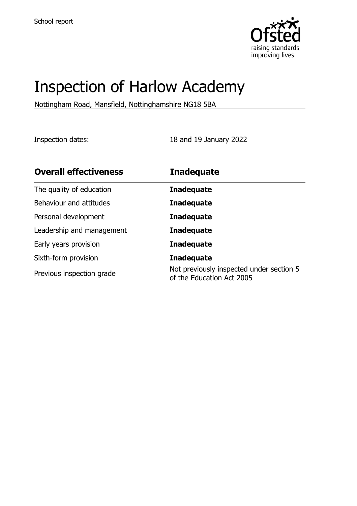

# Inspection of Harlow Academy

Nottingham Road, Mansfield, Nottinghamshire NG18 5BA

Inspection dates: 18 and 19 January 2022

| <b>Overall effectiveness</b> | <b>Inadequate</b>                                                     |
|------------------------------|-----------------------------------------------------------------------|
| The quality of education     | <b>Inadequate</b>                                                     |
| Behaviour and attitudes      | <b>Inadequate</b>                                                     |
| Personal development         | <b>Inadequate</b>                                                     |
| Leadership and management    | <b>Inadequate</b>                                                     |
| Early years provision        | <b>Inadequate</b>                                                     |
| Sixth-form provision         | <b>Inadequate</b>                                                     |
| Previous inspection grade    | Not previously inspected under section 5<br>of the Education Act 2005 |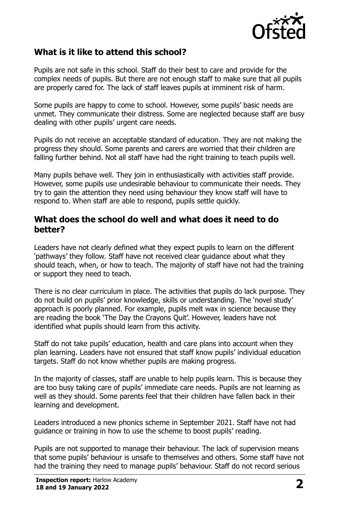

# **What is it like to attend this school?**

Pupils are not safe in this school. Staff do their best to care and provide for the complex needs of pupils. But there are not enough staff to make sure that all pupils are properly cared for. The lack of staff leaves pupils at imminent risk of harm.

Some pupils are happy to come to school. However, some pupils' basic needs are unmet. They communicate their distress. Some are neglected because staff are busy dealing with other pupils' urgent care needs.

Pupils do not receive an acceptable standard of education. They are not making the progress they should. Some parents and carers are worried that their children are falling further behind. Not all staff have had the right training to teach pupils well.

Many pupils behave well. They join in enthusiastically with activities staff provide. However, some pupils use undesirable behaviour to communicate their needs. They try to gain the attention they need using behaviour they know staff will have to respond to. When staff are able to respond, pupils settle quickly.

### **What does the school do well and what does it need to do better?**

Leaders have not clearly defined what they expect pupils to learn on the different 'pathways' they follow. Staff have not received clear guidance about what they should teach, when, or how to teach. The majority of staff have not had the training or support they need to teach.

There is no clear curriculum in place. The activities that pupils do lack purpose. They do not build on pupils' prior knowledge, skills or understanding. The 'novel study' approach is poorly planned. For example, pupils melt wax in science because they are reading the book 'The Day the Crayons Quit'. However, leaders have not identified what pupils should learn from this activity.

Staff do not take pupils' education, health and care plans into account when they plan learning. Leaders have not ensured that staff know pupils' individual education targets. Staff do not know whether pupils are making progress.

In the majority of classes, staff are unable to help pupils learn. This is because they are too busy taking care of pupils' immediate care needs. Pupils are not learning as well as they should. Some parents feel that their children have fallen back in their learning and development.

Leaders introduced a new phonics scheme in September 2021. Staff have not had guidance or training in how to use the scheme to boost pupils' reading.

Pupils are not supported to manage their behaviour. The lack of supervision means that some pupils' behaviour is unsafe to themselves and others. Some staff have not had the training they need to manage pupils' behaviour. Staff do not record serious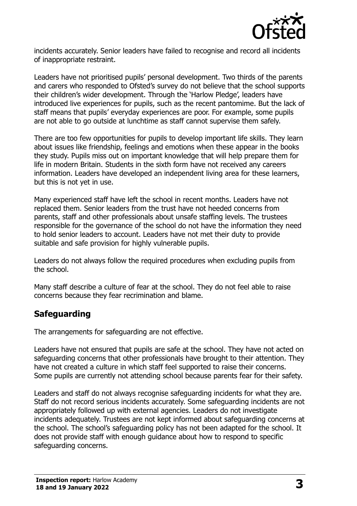

incidents accurately. Senior leaders have failed to recognise and record all incidents of inappropriate restraint.

Leaders have not prioritised pupils' personal development. Two thirds of the parents and carers who responded to Ofsted's survey do not believe that the school supports their children's wider development. Through the 'Harlow Pledge', leaders have introduced live experiences for pupils, such as the recent pantomime. But the lack of staff means that pupils' everyday experiences are poor. For example, some pupils are not able to go outside at lunchtime as staff cannot supervise them safely.

There are too few opportunities for pupils to develop important life skills. They learn about issues like friendship, feelings and emotions when these appear in the books they study. Pupils miss out on important knowledge that will help prepare them for life in modern Britain. Students in the sixth form have not received any careers information. Leaders have developed an independent living area for these learners, but this is not yet in use.

Many experienced staff have left the school in recent months. Leaders have not replaced them. Senior leaders from the trust have not heeded concerns from parents, staff and other professionals about unsafe staffing levels. The trustees responsible for the governance of the school do not have the information they need to hold senior leaders to account. Leaders have not met their duty to provide suitable and safe provision for highly vulnerable pupils.

Leaders do not always follow the required procedures when excluding pupils from the school.

Many staff describe a culture of fear at the school. They do not feel able to raise concerns because they fear recrimination and blame.

# **Safeguarding**

The arrangements for safeguarding are not effective.

Leaders have not ensured that pupils are safe at the school. They have not acted on safeguarding concerns that other professionals have brought to their attention. They have not created a culture in which staff feel supported to raise their concerns. Some pupils are currently not attending school because parents fear for their safety.

Leaders and staff do not always recognise safeguarding incidents for what they are. Staff do not record serious incidents accurately. Some safeguarding incidents are not appropriately followed up with external agencies. Leaders do not investigate incidents adequately. Trustees are not kept informed about safeguarding concerns at the school. The school's safeguarding policy has not been adapted for the school. It does not provide staff with enough guidance about how to respond to specific safeguarding concerns.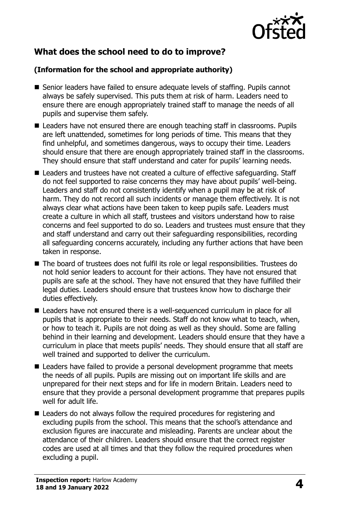

# **What does the school need to do to improve?**

#### **(Information for the school and appropriate authority)**

- Senior leaders have failed to ensure adequate levels of staffing. Pupils cannot always be safely supervised. This puts them at risk of harm. Leaders need to ensure there are enough appropriately trained staff to manage the needs of all pupils and supervise them safely.
- Leaders have not ensured there are enough teaching staff in classrooms. Pupils are left unattended, sometimes for long periods of time. This means that they find unhelpful, and sometimes dangerous, ways to occupy their time. Leaders should ensure that there are enough appropriately trained staff in the classrooms. They should ensure that staff understand and cater for pupils' learning needs.
- Leaders and trustees have not created a culture of effective safeguarding. Staff do not feel supported to raise concerns they may have about pupils' well-being. Leaders and staff do not consistently identify when a pupil may be at risk of harm. They do not record all such incidents or manage them effectively. It is not always clear what actions have been taken to keep pupils safe. Leaders must create a culture in which all staff, trustees and visitors understand how to raise concerns and feel supported to do so. Leaders and trustees must ensure that they and staff understand and carry out their safeguarding responsibilities, recording all safeguarding concerns accurately, including any further actions that have been taken in response.
- The board of trustees does not fulfil its role or legal responsibilities. Trustees do not hold senior leaders to account for their actions. They have not ensured that pupils are safe at the school. They have not ensured that they have fulfilled their legal duties. Leaders should ensure that trustees know how to discharge their duties effectively.
- Leaders have not ensured there is a well-sequenced curriculum in place for all pupils that is appropriate to their needs. Staff do not know what to teach, when, or how to teach it. Pupils are not doing as well as they should. Some are falling behind in their learning and development. Leaders should ensure that they have a curriculum in place that meets pupils' needs. They should ensure that all staff are well trained and supported to deliver the curriculum.
- Leaders have failed to provide a personal development programme that meets the needs of all pupils. Pupils are missing out on important life skills and are unprepared for their next steps and for life in modern Britain. Leaders need to ensure that they provide a personal development programme that prepares pupils well for adult life.
- Leaders do not always follow the required procedures for registering and excluding pupils from the school. This means that the school's attendance and exclusion figures are inaccurate and misleading. Parents are unclear about the attendance of their children. Leaders should ensure that the correct register codes are used at all times and that they follow the required procedures when excluding a pupil.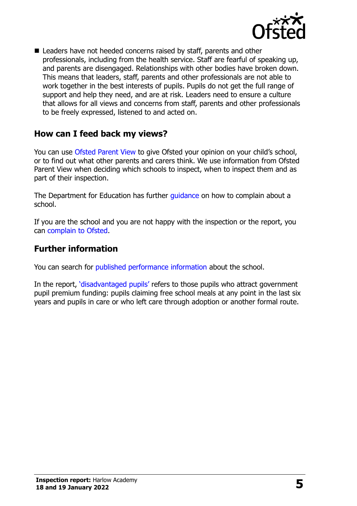

■ Leaders have not heeded concerns raised by staff, parents and other professionals, including from the health service. Staff are fearful of speaking up, and parents are disengaged. Relationships with other bodies have broken down. This means that leaders, staff, parents and other professionals are not able to work together in the best interests of pupils. Pupils do not get the full range of support and help they need, and are at risk. Leaders need to ensure a culture that allows for all views and concerns from staff, parents and other professionals to be freely expressed, listened to and acted on.

## **How can I feed back my views?**

You can use [Ofsted Parent View](http://parentview.ofsted.gov.uk/) to give Ofsted your opinion on your child's school, or to find out what other parents and carers think. We use information from Ofsted Parent View when deciding which schools to inspect, when to inspect them and as part of their inspection.

The Department for Education has further quidance on how to complain about a school.

If you are the school and you are not happy with the inspection or the report, you can [complain to Ofsted.](http://www.gov.uk/complain-ofsted-report)

## **Further information**

You can search for [published performance information](http://www.compare-school-performance.service.gov.uk/) about the school.

In the report, '[disadvantaged pupils](http://www.gov.uk/guidance/pupil-premium-information-for-schools-and-alternative-provision-settings)' refers to those pupils who attract government pupil premium funding: pupils claiming free school meals at any point in the last six years and pupils in care or who left care through adoption or another formal route.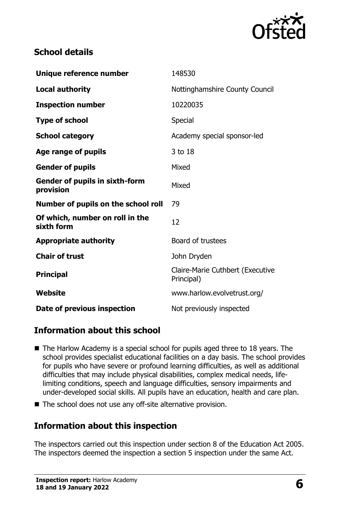

# **School details**

| Unique reference number                            | 148530                                         |
|----------------------------------------------------|------------------------------------------------|
| <b>Local authority</b>                             | Nottinghamshire County Council                 |
| <b>Inspection number</b>                           | 10220035                                       |
| <b>Type of school</b>                              | Special                                        |
| <b>School category</b>                             | Academy special sponsor-led                    |
| Age range of pupils                                | 3 to 18                                        |
| <b>Gender of pupils</b>                            | Mixed                                          |
| <b>Gender of pupils in sixth-form</b><br>provision | Mixed                                          |
| Number of pupils on the school roll                | 79                                             |
| Of which, number on roll in the<br>sixth form      | 12                                             |
| <b>Appropriate authority</b>                       | Board of trustees                              |
| <b>Chair of trust</b>                              | John Dryden                                    |
| <b>Principal</b>                                   | Claire-Marie Cuthbert (Executive<br>Principal) |
| Website                                            | www.harlow.evolvetrust.org/                    |
| Date of previous inspection                        | Not previously inspected                       |

# **Information about this school**

- The Harlow Academy is a special school for pupils aged three to 18 years. The school provides specialist educational facilities on a day basis. The school provides for pupils who have severe or profound learning difficulties, as well as additional difficulties that may include physical disabilities, complex medical needs, lifelimiting conditions, speech and language difficulties, sensory impairments and under-developed social skills. All pupils have an education, health and care plan.
- The school does not use any off-site alternative provision.

# **Information about this inspection**

The inspectors carried out this inspection under section 8 of the Education Act 2005. The inspectors deemed the inspection a section 5 inspection under the same Act.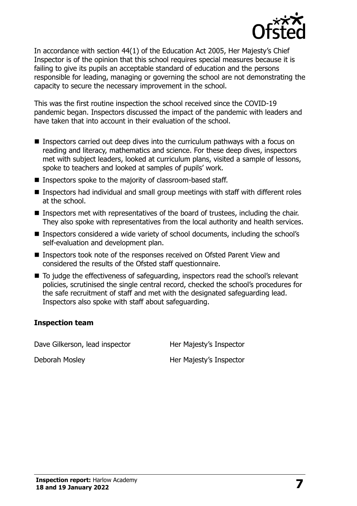

In accordance with section 44(1) of the Education Act 2005, Her Majesty's Chief Inspector is of the opinion that this school requires special measures because it is failing to give its pupils an acceptable standard of education and the persons responsible for leading, managing or governing the school are not demonstrating the capacity to secure the necessary improvement in the school.

This was the first routine inspection the school received since the COVID-19 pandemic began. Inspectors discussed the impact of the pandemic with leaders and have taken that into account in their evaluation of the school.

- Inspectors carried out deep dives into the curriculum pathways with a focus on reading and literacy, mathematics and science. For these deep dives, inspectors met with subject leaders, looked at curriculum plans, visited a sample of lessons, spoke to teachers and looked at samples of pupils' work.
- Inspectors spoke to the majority of classroom-based staff.
- Inspectors had individual and small group meetings with staff with different roles at the school.
- Inspectors met with representatives of the board of trustees, including the chair. They also spoke with representatives from the local authority and health services.
- Inspectors considered a wide variety of school documents, including the school's self-evaluation and development plan.
- Inspectors took note of the responses received on Ofsted Parent View and considered the results of the Ofsted staff questionnaire.
- To judge the effectiveness of safeguarding, inspectors read the school's relevant policies, scrutinised the single central record, checked the school's procedures for the safe recruitment of staff and met with the designated safeguarding lead. Inspectors also spoke with staff about safeguarding.

#### **Inspection team**

Dave Gilkerson, lead inspector Her Majesty's Inspector

Deborah Mosley **Her Majesty's Inspector**